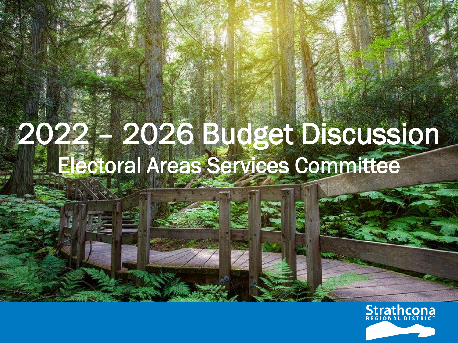## 2022 – 2026 Budget Discussion Electoral Areas Services Committee

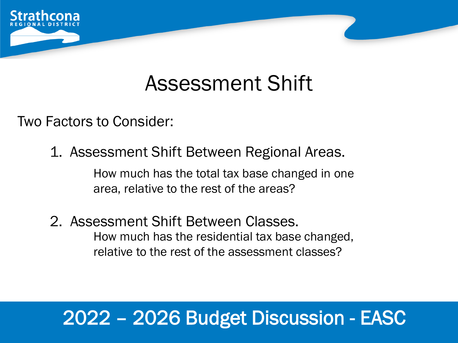

## Assessment Shift

Two Factors to Consider:

1. Assessment Shift Between Regional Areas.

How much has the total tax base changed in one area, relative to the rest of the areas?

2. Assessment Shift Between Classes. How much has the residential tax base changed, relative to the rest of the assessment classes?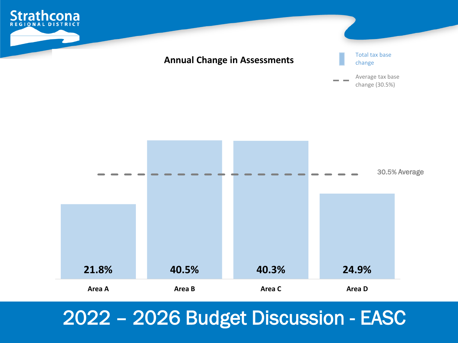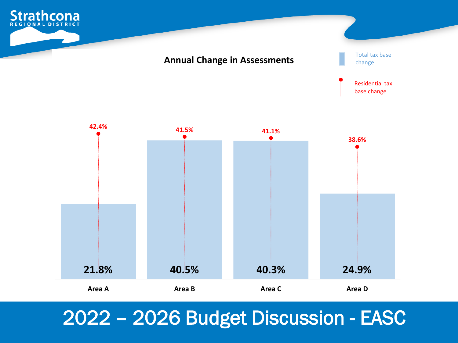



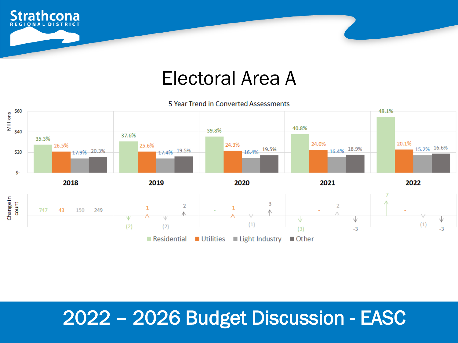

#### Electoral Area A

5 Year Trend in Converted Assessments

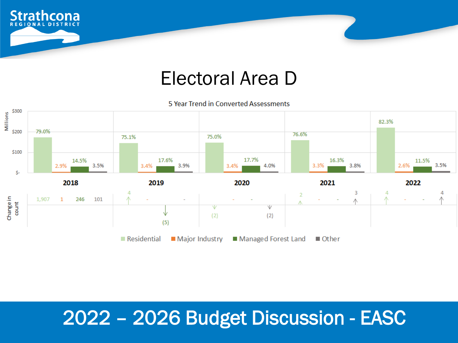

#### Electoral Area D

5 Year Trend in Converted Assessments

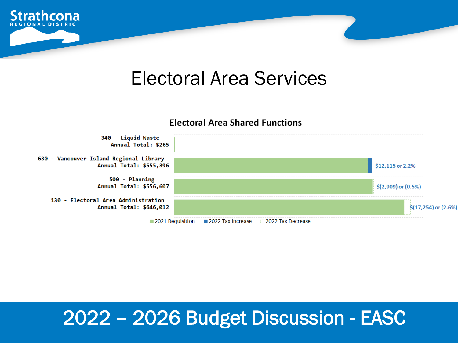

#### Electoral Area Services

#### **Electoral Area Shared Functions**

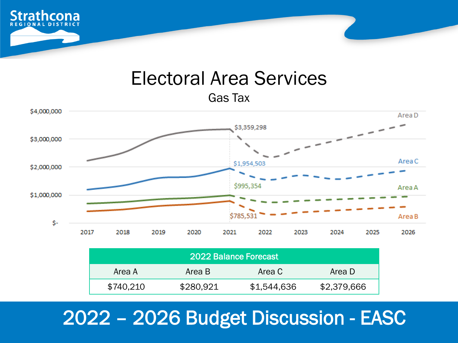

### Electoral Area Services

Gas Tax



|           |           | 2022 Balance Forecast |             |
|-----------|-----------|-----------------------|-------------|
| Area A    | Area B    | Area C                | Area D      |
| \$740,210 | \$280,921 | \$1,544,636           | \$2,379,666 |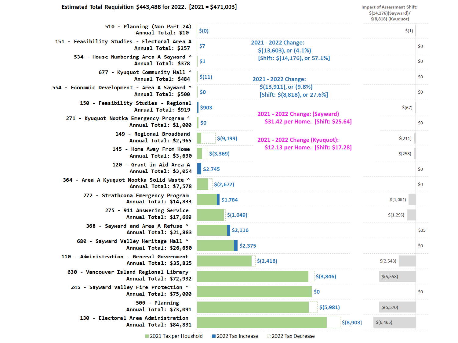**Impact of Assessment Shift:**  $$(14, 176)(Sayward)$ \$(8,818) (Kyuquot)

 $$(6, 465)$ 

 $$(8,903)$ 

 $$(1)$ 2021 - 2022 Change:  $$0$  $$(13,603)$ , or  $(4.1\%)$ [Shift: \$(14,176), or 57.1%]  $$0$  $$0$ 2021 - 2022 Change:  $$(13,911)$ , or  $(9.8\%)$  $$0$ [Shift: \$(8,818), or 27.6%]  $$(67)$ 2021 - 2022 Change: (Sayward) \$31.42 per Home. [Shift: \$25.64]  $$0$  $$(9, 199)$  $$(211)$ 2021 - 2022 Change (Kyuquot): \$12.13 per Home. [Shift: \$17.28]  $$(258)$  $$0$  $$(2,672)$  $$0$ \$1,784  $$(1,054)$  $$(1,049)$  $$(1,296)$  $$2,116$ \$35 \$2,375  $$0$  $$(2, 416)$  $$(2,548)$  $$(3,846)$  $$(5,558)$ \$0  $$0$  $$(5,981)$  $$(5,570)$ 

510 - Planning (Non Part 24)  $$(0)$ Annual Total: \$10 151 - Feasibility Studies - Electoral Area A \$7 Annual Total: \$257 534 - House Numbering Area A Sayward ^  $$1$ Annual Total: \$378 677 - Kyuquot Community Hall ^  $$(11)$ Annual Total: \$484 554 - Economic Development - Area A Sayward ^ \$0 Annual Total: \$500 150 - Feasibility Studies - Regional \$903 Annual Total: \$919 271 - Kyuquot Nootka Emergency Program ^ \$0 Annual Total: \$1,000 149 - Regional Broadband Annual Total: \$2,965 145 - Home Away From Home Annual Total: \$3,630 120 - Grant in Aid Area A  $$2,745$ Annual Total: \$3,054 364 - Area A Kyuquot Nootka Solid Waste ^ Annual Total: \$7,578 272 - Strathcona Emergency Program Annual Total: \$14,833 275 - 911 Answering Service Annual Total: \$17,669 368 - Sayward and Area A Refuse ^ Annual Total: \$21,883 680 - Sayward Valley Heritage Hall ^ Annual Total: \$26,650 110 - Administration - General Government Annual Total: \$35,825 630 - Vancouver Island Regional Library Annual Total: \$72,932 245 - Sayward Valley Fire Protection ^ Annual Total: \$75,000 500 - Planning Annual Total: \$73,091 130 - Electoral Area Administration Annual Total: \$84,831

2021 Tax per Houshold

 $$(3,369)$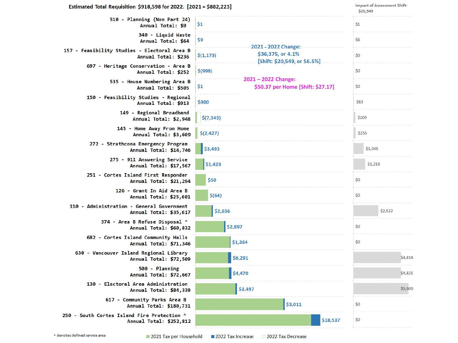| Estimated Total Requisition \$918,598 for 2022. [2021 = \$882,223]     | <b>Impact of Assessment Shift:</b><br>\$20,549                                           |         |  |
|------------------------------------------------------------------------|------------------------------------------------------------------------------------------|---------|--|
| 510 - Planning (Non Part 24)<br>Annual Total: \$9                      | \$1                                                                                      | \$1     |  |
| 340 - Liquid Waste<br>Annual Total: \$64                               | \$9                                                                                      | \$6     |  |
| 157 - Feasibility Studies - Electoral Area B<br>Annual Total: \$236    | $-2021 - 2022$ Change:<br>\$36,375, or 4.1%<br>\$(1, 173)<br>[Shift: \$20,549, or 56.5%] | \$0     |  |
| 697 - Heritage Conservation - Area B<br>Annual Total: \$252            | $$$ (998)                                                                                | \$0     |  |
| 535 - House Numbering Area B<br>Annual Total: \$505                    | $2021 - 2022$ Change:<br>\$1<br>\$50.37 per Home [Shift: \$27.17]                        | \$0     |  |
| 150 - Feasibility Studies - Regional<br>Annual Total: \$913            | \$900                                                                                    | \$63    |  |
| 149 - Regional Broadband<br>Annual Total: \$2,948                      | \$(7, 543)                                                                               | \$209   |  |
| 145 - Home Away From Home<br>Annual Total: \$3,609                     | \$(2, 427)                                                                               | \$255   |  |
| 272 - Strathcona Emergency Program<br>Annual Total: \$14,746           | \$3,493                                                                                  | \$1,045 |  |
| 275 - 911 Answering Service<br>Annual Total: \$17,567                  | \$1,423                                                                                  | \$1,210 |  |
| 251 - Cortes Island First Responder<br>Annual Total: \$21,294          | \$50                                                                                     | \$0     |  |
| 126 - Grant In Aid Area B<br>Annual Total: \$25,601                    | \$(64)                                                                                   | \$0     |  |
| 110 - Administration - General Government<br>Annual Total: \$35,617    | \$2,636                                                                                  | \$2,522 |  |
| 374 - Area B Refuse Disposal ^<br>Annual Total: \$60,832               | \$2,897                                                                                  | \$0     |  |
| 682 - Cortes Island Community Halls<br>Annual Total: \$71,346          | \$1,364                                                                                  | \$0     |  |
| 630 - Vancouver Island Regional Library<br>Annual Total: \$72,509      | \$6,291                                                                                  | \$4,814 |  |
| 500 - Planning<br>Annual Total: \$72,667                               | \$4,470                                                                                  | \$4,825 |  |
| 130 - Electoral Area Administration<br>Annual Total: \$84,339          | \$3,497                                                                                  | \$5,600 |  |
| 617 - Community Parks Area B<br>Annual Total: \$180,731                | \$3,011                                                                                  | \$0     |  |
| 250 - South Cortes Island Fire Protection ^<br>Annual Total: \$252,812 | \$18,537                                                                                 | \$0     |  |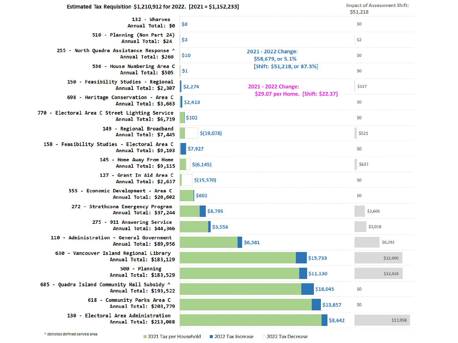| Estimated Tax Requisition \$1,210,912 for 2022. [2021 = \$1,152,233]    |                                                  | \$51,218        | <b>Impact of Assessment Shift:</b> |  |
|-------------------------------------------------------------------------|--------------------------------------------------|-----------------|------------------------------------|--|
| 132 - Wharves<br>Annual Total: \$0                                      | \$0                                              | \$0             |                                    |  |
| 510 - Planning (Non Part 24)<br>Annual Total: \$24                      | \$3                                              | \$2             |                                    |  |
| 255 - North Quadra Assistance Response ^<br>Annual Total: \$260         | 2021 - 2022 Change:<br>\$10<br>\$58,679, or 5.1% | \$0             |                                    |  |
| 536 - House Numbering Area C<br>Annual Total: \$505                     | [Shift: \$51,218, or 87.3%]<br>\$1               | \$0             |                                    |  |
| 150 - Feasibility Studies - Regional<br>Annual Total: \$2,307           | \$2,274<br>2021 - 2022 Change:                   | \$157           |                                    |  |
| 698 - Heritage Conservation - Area C<br>Annual Total: \$3,663           | \$29.07 per Home. [Shift: \$22.37]<br>\$2,413    | \$0             |                                    |  |
| 770 - Electoral Area C Street Lighting Service<br>Annual Total: \$6,719 | \$102                                            | \$0             |                                    |  |
| 149 - Regional Broadband<br>Annual Total: \$7,445                       | \$(19,076)                                       | \$521           |                                    |  |
| 158 - Feasibility Studies - Electoral Area C<br>Annual Total: \$9,103   | \$7,927                                          | \$0             |                                    |  |
| 145 - Home Away From Home<br>Annual Total: \$9,115                      | \$(6, 145)                                       | \$637           |                                    |  |
| 127 - Grant In Aid Area C<br>Annual Total: \$2,637                      | \$(15, 570)                                      | \$0             |                                    |  |
| 555 - Economic Development - Area C<br>Annual Total: \$20,602           | \$602                                            | \$0             |                                    |  |
| 272 - Strathcona Emergency Program<br>Annual Total: \$37,244            | \$8,795                                          | \$2,606         |                                    |  |
| 275 - 911 Answering Service<br>Annual Total: \$44,366                   | \$3,556                                          | \$3,018         |                                    |  |
| 110 - Administration - General Government<br>Annual Total: \$89,956     | \$6,581                                          |                 | \$6,292                            |  |
| 630 - Vancouver Island Regional Library<br>Annual Total: \$183,129      | \$15,733                                         |                 | \$12,000                           |  |
| 500 - Planning<br>Annual Total: \$183,529                               | \$11,130                                         |                 | \$12,026                           |  |
| 685 - Quadra Island Community Hall Subsidy ^<br>Annual Total: \$193,522 | \$18,045                                         | \$0             |                                    |  |
| 618 - Community Parks Area C<br>Annual Total: \$203,779                 |                                                  | \$0<br>\$13,657 |                                    |  |
| 130 - Electoral Area Administration<br>Annual Total: \$213,008          |                                                  | \$8,642         | \$13,958                           |  |

**Impact of Assessment Shift:**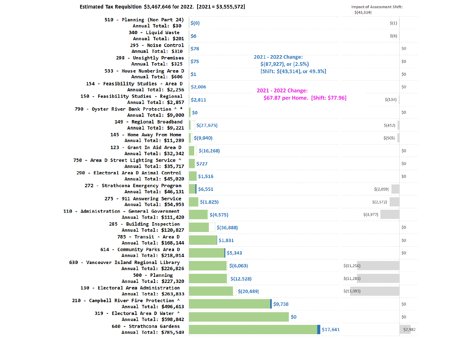| I                                            | <b>Impact of Assessment Shift:</b><br>\$(43, 314) |     |  |
|----------------------------------------------|---------------------------------------------------|-----|--|
|                                              | \$(1)                                             |     |  |
|                                              | \$(6)                                             |     |  |
|                                              |                                                   | \$0 |  |
| 2021 - 2022 Change:<br>\$(87,927), or (2.5%) |                                                   | \$0 |  |
| [Shift: \$(43,314), or 49.3%]                |                                                   | \$0 |  |
| 2021 - 2022 Change:                          |                                                   | \$0 |  |
| \$67.87 per Home. [Shift: \$77.96]           | \$(134)                                           |     |  |
|                                              |                                                   | \$0 |  |
|                                              | \$(412)                                           |     |  |
|                                              | \$ (505)                                          |     |  |
|                                              |                                                   | \$0 |  |
|                                              |                                                   | \$0 |  |
|                                              |                                                   | \$0 |  |
|                                              | \$(2,059)                                         |     |  |
|                                              | \$(2,572)                                         |     |  |

 $|$6,551$  $$(1,825)$  $$(4,575)$  $$(4,977)$  $$$ (36,888)  $$0$ \$1,831 \$0 \$5,343  $$0$  $$(6,063)$  $$(11,256)$  $$(12,528)$  $$(11, 281)$  $$(20, 489)$  $$(13,093)$ \$9,738 \$0 \$0 \$0  $$17,641$ \$2,982

 $$(27, 675)$ 

 $$(16, 268)$ 

 $$(9,940)$ 

\$727

\$1,516

Annual Total: \$30 340 - Liquid Waste \$6 Annual Total: \$201 295 - Noise Control \$78 Annual Total: \$310 298 - Unsightly Premises \$75 Annual Total: \$325 533 - House Numbering Area D  $$1$ Annual Total: \$606 154 - Feasibility Studies - Area D \$2,006 Annual Total: \$2,256 150 - Feasibility Studies - Regional \$2,811 Annual Total: \$2,857 790 - Oyster River Bank Protection ^ \* \$0 Annual Total: \$9,000 149 - Regional Broadband Annual Total: \$9,221 145 - Home Away From Home Annual Total: \$11,289 123 - Grant In Aid Area D Annual Total: \$32,342 750 - Area D Street Lighting Service ^ Annual Total: \$35,717 290 - Electoral Area D Animal Control Annual Total: \$45,020 272 - Strathcona Emergency Program Annual Total: \$46,131 275 - 911 Answering Service Annual Total: \$54,953 110 - Administration - General Government Annual Total: \$111,420 285 - Building Inspection Annual Total: \$120,827 785 - Transit - Area D Annual Total: \$168,144 614 - Community Parks Area D Annual Total: \$218,014 630 - Vancouver Island Regional Library Annual Total: \$226,826 500 - Planning Annual Total: \$227,320 130 - Electoral Area Administration Annual Total: \$263,833 210 - Campbell River Fire Protection ^ Annual Total: \$496,613 319 - Electoral Area D Water ^ Annual Total: \$598,842 640 - Strathcona Gardens Annual Total: \$785,549